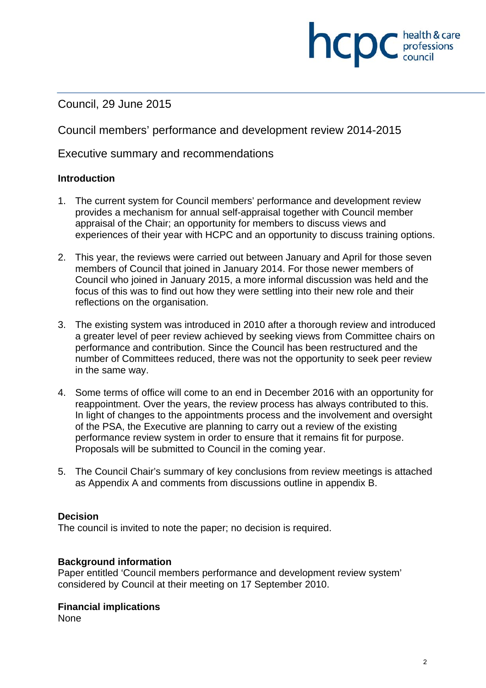Council, 29 June 2015

Council members' performance and development review 2014-2015

Executive summary and recommendations

### **Introduction**

- 1. The current system for Council members' performance and development review provides a mechanism for annual self-appraisal together with Council member appraisal of the Chair; an opportunity for members to discuss views and experiences of their year with HCPC and an opportunity to discuss training options.
- 2. This year, the reviews were carried out between January and April for those seven members of Council that joined in January 2014. For those newer members of Council who joined in January 2015, a more informal discussion was held and the focus of this was to find out how they were settling into their new role and their reflections on the organisation.
- 3. The existing system was introduced in 2010 after a thorough review and introduced a greater level of peer review achieved by seeking views from Committee chairs on performance and contribution. Since the Council has been restructured and the number of Committees reduced, there was not the opportunity to seek peer review in the same way.
- 4. Some terms of office will come to an end in December 2016 with an opportunity for reappointment. Over the years, the review process has always contributed to this. In light of changes to the appointments process and the involvement and oversight of the PSA, the Executive are planning to carry out a review of the existing performance review system in order to ensure that it remains fit for purpose. Proposals will be submitted to Council in the coming year.
- 5. The Council Chair's summary of key conclusions from review meetings is attached as Appendix A and comments from discussions outline in appendix B.

### **Decision**

The council is invited to note the paper; no decision is required.

### **Background information**

Paper entitled 'Council members performance and development review system' considered by Council at their meeting on 17 September 2010.

### **Financial implications**

None

**ncpc** health & care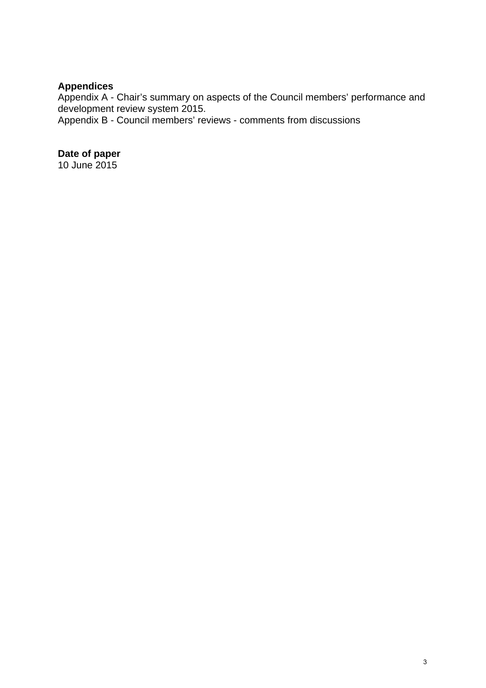# **Appendices**

Appendix A - Chair's summary on aspects of the Council members' performance and development review system 2015.

Appendix B - Council members' reviews - comments from discussions

# **Date of paper**

10 June 2015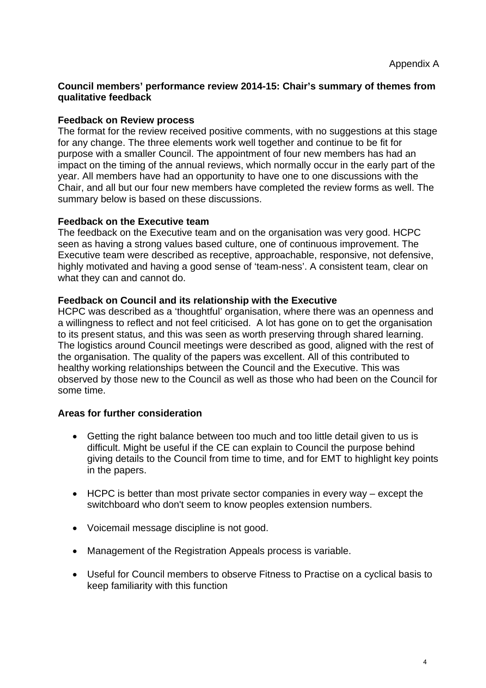### **Council members' performance review 2014-15: Chair's summary of themes from qualitative feedback**

### **Feedback on Review process**

The format for the review received positive comments, with no suggestions at this stage for any change. The three elements work well together and continue to be fit for purpose with a smaller Council. The appointment of four new members has had an impact on the timing of the annual reviews, which normally occur in the early part of the year. All members have had an opportunity to have one to one discussions with the Chair, and all but our four new members have completed the review forms as well. The summary below is based on these discussions.

### **Feedback on the Executive team**

The feedback on the Executive team and on the organisation was very good. HCPC seen as having a strong values based culture, one of continuous improvement. The Executive team were described as receptive, approachable, responsive, not defensive, highly motivated and having a good sense of 'team-ness'. A consistent team, clear on what they can and cannot do.

### **Feedback on Council and its relationship with the Executive**

HCPC was described as a 'thoughtful' organisation, where there was an openness and a willingness to reflect and not feel criticised. A lot has gone on to get the organisation to its present status, and this was seen as worth preserving through shared learning. The logistics around Council meetings were described as good, aligned with the rest of the organisation. The quality of the papers was excellent. All of this contributed to healthy working relationships between the Council and the Executive. This was observed by those new to the Council as well as those who had been on the Council for some time.

## **Areas for further consideration**

- Getting the right balance between too much and too little detail given to us is difficult. Might be useful if the CE can explain to Council the purpose behind giving details to the Council from time to time, and for EMT to highlight key points in the papers.
- HCPC is better than most private sector companies in every way except the switchboard who don't seem to know peoples extension numbers.
- Voicemail message discipline is not good.
- Management of the Registration Appeals process is variable.
- Useful for Council members to observe Fitness to Practise on a cyclical basis to keep familiarity with this function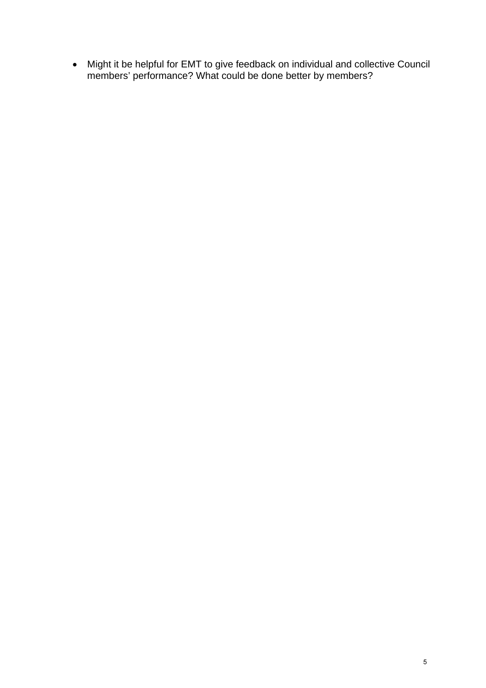Might it be helpful for EMT to give feedback on individual and collective Council members' performance? What could be done better by members?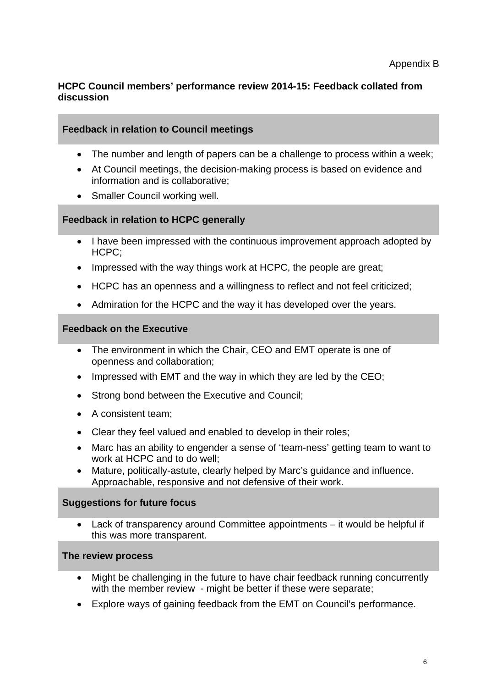# **HCPC Council members' performance review 2014-15: Feedback collated from discussion**

# **Feedback in relation to Council meetings**

- The number and length of papers can be a challenge to process within a week;
- At Council meetings, the decision-making process is based on evidence and information and is collaborative;
- Smaller Council working well.

## **Feedback in relation to HCPC generally**

- I have been impressed with the continuous improvement approach adopted by HCPC;
- Impressed with the way things work at HCPC, the people are great:
- HCPC has an openness and a willingness to reflect and not feel criticized;
- Admiration for the HCPC and the way it has developed over the years.

## **Feedback on the Executive**

- The environment in which the Chair, CEO and EMT operate is one of openness and collaboration;
- Impressed with EMT and the way in which they are led by the CEO;
- Strong bond between the Executive and Council;
- A consistent team:
- Clear they feel valued and enabled to develop in their roles;
- Marc has an ability to engender a sense of 'team-ness' getting team to want to work at HCPC and to do well;
- Mature, politically-astute, clearly helped by Marc's guidance and influence. Approachable, responsive and not defensive of their work.

### **Suggestions for future focus**

 Lack of transparency around Committee appointments – it would be helpful if this was more transparent.

# **The review process**

- Might be challenging in the future to have chair feedback running concurrently with the member review - might be better if these were separate:
- Explore ways of gaining feedback from the EMT on Council's performance.